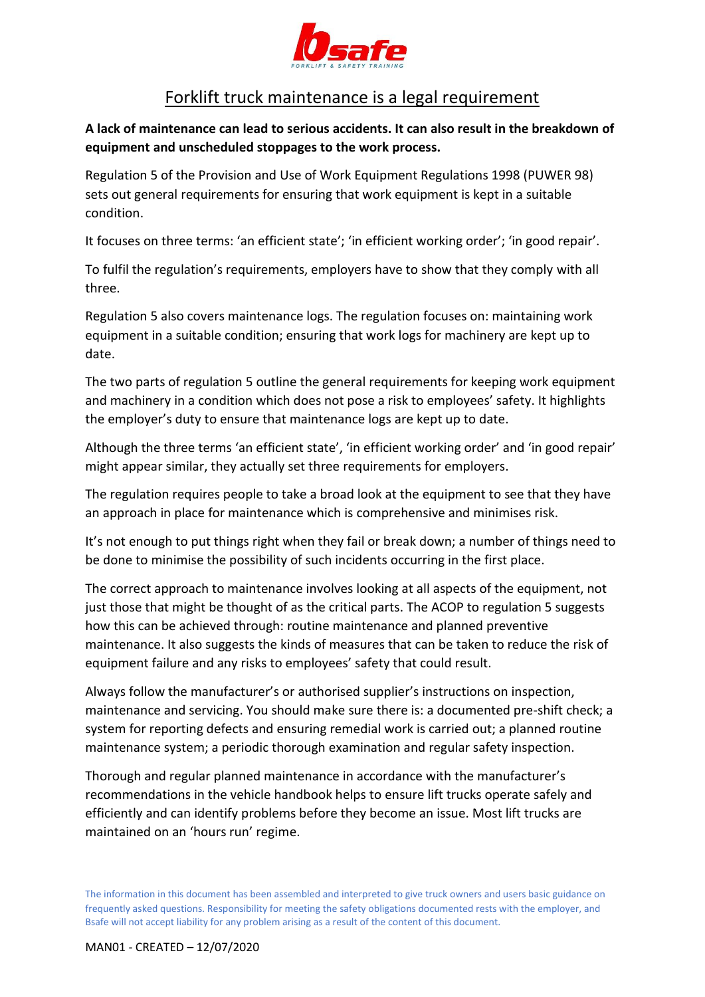

## Forklift truck maintenance is a legal requirement

**A lack of maintenance can lead to serious accidents. It can also result in the breakdown of equipment and unscheduled stoppages to the work process.** 

Regulation 5 of the Provision and Use of Work Equipment Regulations 1998 (PUWER 98) sets out general requirements for ensuring that work equipment is kept in a suitable condition.

It focuses on three terms: 'an efficient state'; 'in efficient working order'; 'in good repair'.

To fulfil the regulation's requirements, employers have to show that they comply with all three.

Regulation 5 also covers maintenance logs. The regulation focuses on: maintaining work equipment in a suitable condition; ensuring that work logs for machinery are kept up to date.

The two parts of regulation 5 outline the general requirements for keeping work equipment and machinery in a condition which does not pose a risk to employees' safety. It highlights the employer's duty to ensure that maintenance logs are kept up to date.

Although the three terms 'an efficient state', 'in efficient working order' and 'in good repair' might appear similar, they actually set three requirements for employers.

The regulation requires people to take a broad look at the equipment to see that they have an approach in place for maintenance which is comprehensive and minimises risk.

It's not enough to put things right when they fail or break down; a number of things need to be done to minimise the possibility of such incidents occurring in the first place.

The correct approach to maintenance involves looking at all aspects of the equipment, not just those that might be thought of as the critical parts. The ACOP to regulation 5 suggests how this can be achieved through: routine maintenance and planned preventive maintenance. It also suggests the kinds of measures that can be taken to reduce the risk of equipment failure and any risks to employees' safety that could result.

Always follow the manufacturer's or authorised supplier's instructions on inspection, maintenance and servicing. You should make sure there is: a documented pre-shift check; a system for reporting defects and ensuring remedial work is carried out; a planned routine maintenance system; a periodic thorough examination and regular safety inspection.

Thorough and regular planned maintenance in accordance with the manufacturer's recommendations in the vehicle handbook helps to ensure lift trucks operate safely and efficiently and can identify problems before they become an issue. Most lift trucks are maintained on an 'hours run' regime.

The information in this document has been assembled and interpreted to give truck owners and users basic guidance on frequently asked questions. Responsibility for meeting the safety obligations documented rests with the employer, and Bsafe will not accept liability for any problem arising as a result of the content of this document.